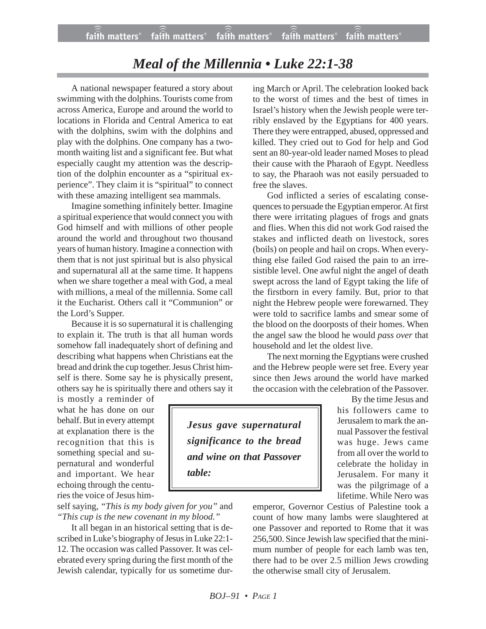## *Meal of the Millennia • Luke 22:1-38*

A national newspaper featured a story about swimming with the dolphins. Tourists come from across America, Europe and around the world to locations in Florida and Central America to eat with the dolphins, swim with the dolphins and play with the dolphins. One company has a twomonth waiting list and a significant fee. But what especially caught my attention was the description of the dolphin encounter as a "spiritual experience". They claim it is "spiritual" to connect with these amazing intelligent sea mammals.

Imagine something infinitely better. Imagine a spiritual experience that would connect you with God himself and with millions of other people around the world and throughout two thousand years of human history. Imagine a connection with them that is not just spiritual but is also physical and supernatural all at the same time. It happens when we share together a meal with God, a meal with millions, a meal of the millennia. Some call it the Eucharist. Others call it "Communion" or the Lord's Supper.

Because it is so supernatural it is challenging to explain it. The truth is that all human words somehow fall inadequately short of defining and describing what happens when Christians eat the bread and drink the cup together. Jesus Christ himself is there. Some say he is physically present, others say he is spiritually there and others say it

is mostly a reminder of what he has done on our behalf. But in every attempt at explanation there is the recognition that this is something special and supernatural and wonderful and important. We hear echoing through the centuries the voice of Jesus him-

self saying, *"This is my body given for you"* and *"This cup is the new covenant in my blood."*

It all began in an historical setting that is described in Luke's biography of Jesus in Luke 22:1- 12. The occasion was called Passover. It was celebrated every spring during the first month of the Jewish calendar, typically for us sometime dur-

ing March or April. The celebration looked back to the worst of times and the best of times in Israel's history when the Jewish people were terribly enslaved by the Egyptians for 400 years. There they were entrapped, abused, oppressed and killed. They cried out to God for help and God sent an 80-year-old leader named Moses to plead their cause with the Pharaoh of Egypt. Needless to say, the Pharaoh was not easily persuaded to free the slaves.

God inflicted a series of escalating consequences to persuade the Egyptian emperor. At first there were irritating plagues of frogs and gnats and flies. When this did not work God raised the stakes and inflicted death on livestock, sores (boils) on people and hail on crops. When everything else failed God raised the pain to an irresistible level. One awful night the angel of death swept across the land of Egypt taking the life of the firstborn in every family. But, prior to that night the Hebrew people were forewarned. They were told to sacrifice lambs and smear some of the blood on the doorposts of their homes. When the angel saw the blood he would *pass over* that household and let the oldest live.

The next morning the Egyptians were crushed and the Hebrew people were set free. Every year since then Jews around the world have marked the occasion with the celebration of the Passover.

*Jesus gave supernatural significance to the bread and wine on that Passover table:*

By the time Jesus and his followers came to Jerusalem to mark the annual Passover the festival was huge. Jews came from all over the world to celebrate the holiday in Jerusalem. For many it was the pilgrimage of a lifetime. While Nero was

emperor, Governor Cestius of Palestine took a count of how many lambs were slaughtered at one Passover and reported to Rome that it was 256,500. Since Jewish law specified that the minimum number of people for each lamb was ten, there had to be over 2.5 million Jews crowding the otherwise small city of Jerusalem.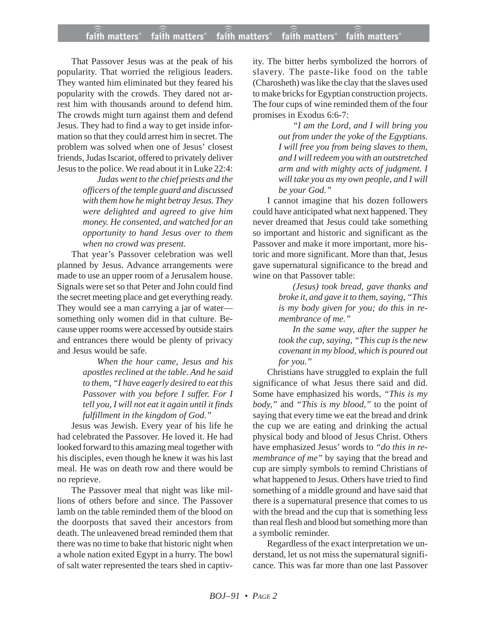## **faith matters® faith matters® faith matters® faith matters® faith matters®** ))) ))) faith matters® faith matters<sup>®</sup> faith matters

That Passover Jesus was at the peak of his popularity. That worried the religious leaders. They wanted him eliminated but they feared his popularity with the crowds. They dared not arrest him with thousands around to defend him. The crowds might turn against them and defend Jesus. They had to find a way to get inside information so that they could arrest him in secret. The problem was solved when one of Jesus' closest friends, Judas Iscariot, offered to privately deliver Jesus to the police. We read about it in Luke 22:4:

> *Judas went to the chief priests and the officers of the temple guard and discussed with them how he might betray Jesus. They were delighted and agreed to give him money. He consented, and watched for an opportunity to hand Jesus over to them when no crowd was present.*

That year's Passover celebration was well planned by Jesus. Advance arrangements were made to use an upper room of a Jerusalem house. Signals were set so that Peter and John could find the secret meeting place and get everything ready. They would see a man carrying a jar of water something only women did in that culture. Because upper rooms were accessed by outside stairs and entrances there would be plenty of privacy and Jesus would be safe.

> *When the hour came, Jesus and his apostles reclined at the table. And he said to them, "I have eagerly desired to eat this Passover with you before I suffer. For I tell you, I will not eat it again until it finds fulfillment in the kingdom of God."*

Jesus was Jewish. Every year of his life he had celebrated the Passover. He loved it. He had looked forward to this amazing meal together with his disciples, even though he knew it was his last meal. He was on death row and there would be no reprieve.

The Passover meal that night was like millions of others before and since. The Passover lamb on the table reminded them of the blood on the doorposts that saved their ancestors from death. The unleavened bread reminded them that there was no time to bake that historic night when a whole nation exited Egypt in a hurry. The bowl of salt water represented the tears shed in captivity. The bitter herbs symbolized the horrors of slavery. The paste-like food on the table (Charosheth) was like the clay that the slaves used to make bricks for Egyptian construction projects. The four cups of wine reminded them of the four promises in Exodus 6:6-7:

> *"I am the Lord, and I will bring you out from under the yoke of the Egyptians. I will free you from being slaves to them, and I will redeem you with an outstretched arm and with mighty acts of judgment. I will take you as my own people, and I will be your God."*

I cannot imagine that his dozen followers could have anticipated what next happened. They never dreamed that Jesus could take something so important and historic and significant as the Passover and make it more important, more historic and more significant. More than that, Jesus gave supernatural significance to the bread and wine on that Passover table:

> *(Jesus) took bread, gave thanks and broke it, and gave it to them, saying, "This is my body given for you; do this in remembrance of me."*

> *In the same way, after the supper he took the cup, saying, "This cup is the new covenant in my blood, which is poured out for you."*

Christians have struggled to explain the full significance of what Jesus there said and did. Some have emphasized his words, *"This is my body,"* and *"This is my blood,"* to the point of saying that every time we eat the bread and drink the cup we are eating and drinking the actual physical body and blood of Jesus Christ. Others have emphasized Jesus' words to *"do this in remembrance of me"* by saying that the bread and cup are simply symbols to remind Christians of what happened to Jesus. Others have tried to find something of a middle ground and have said that there is a supernatural presence that comes to us with the bread and the cup that is something less than real flesh and blood but something more than a symbolic reminder.

Regardless of the exact interpretation we understand, let us not miss the supernatural significance. This was far more than one last Passover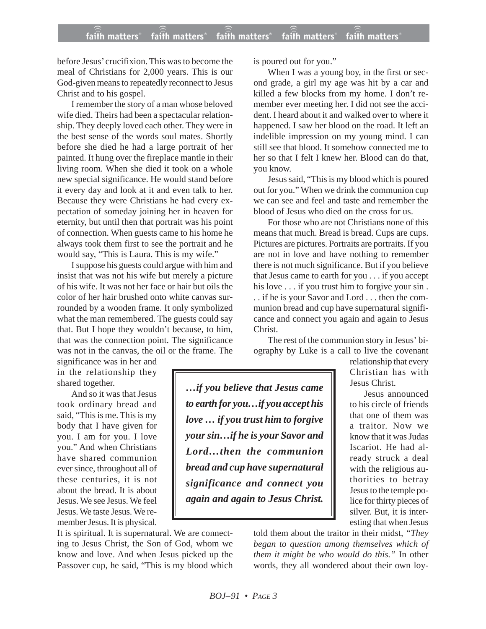## **faith matters® faith matters® faith matters® faith matters® faith matters®** ))) ))) faith matters<sup>®</sup> faith matters® faith matters

before Jesus' crucifixion. This was to become the meal of Christians for 2,000 years. This is our God-given means to repeatedly reconnect to Jesus Christ and to his gospel.

I remember the story of a man whose beloved wife died. Theirs had been a spectacular relationship. They deeply loved each other. They were in the best sense of the words soul mates. Shortly before she died he had a large portrait of her painted. It hung over the fireplace mantle in their living room. When she died it took on a whole new special significance. He would stand before it every day and look at it and even talk to her. Because they were Christians he had every expectation of someday joining her in heaven for eternity, but until then that portrait was his point of connection. When guests came to his home he always took them first to see the portrait and he would say, "This is Laura. This is my wife."

I suppose his guests could argue with him and insist that was not his wife but merely a picture of his wife. It was not her face or hair but oils the color of her hair brushed onto white canvas surrounded by a wooden frame. It only symbolized what the man remembered. The guests could say that. But I hope they wouldn't because, to him, that was the connection point. The significance was not in the canvas, the oil or the frame. The

significance was in her and in the relationship they shared together.

And so it was that Jesus took ordinary bread and said, "This is me. This is my body that I have given for you. I am for you. I love you." And when Christians have shared communion ever since, throughout all of these centuries, it is not about the bread. It is about Jesus. We see Jesus. We feel Jesus. We taste Jesus. We remember Jesus. It is physical.

It is spiritual. It is supernatural. We are connecting to Jesus Christ, the Son of God, whom we know and love. And when Jesus picked up the Passover cup, he said, "This is my blood which is poured out for you."

When I was a young boy, in the first or second grade, a girl my age was hit by a car and killed a few blocks from my home. I don't remember ever meeting her. I did not see the accident. I heard about it and walked over to where it happened. I saw her blood on the road. It left an indelible impression on my young mind. I can still see that blood. It somehow connected me to her so that I felt I knew her. Blood can do that, you know.

Jesus said, "This is my blood which is poured out for you." When we drink the communion cup we can see and feel and taste and remember the blood of Jesus who died on the cross for us.

For those who are not Christians none of this means that much. Bread is bread. Cups are cups. Pictures are pictures. Portraits are portraits. If you are not in love and have nothing to remember there is not much significance. But if you believe that Jesus came to earth for you . . . if you accept his love . . . if you trust him to forgive your sin. . . if he is your Savor and Lord . . . then the communion bread and cup have supernatural significance and connect you again and again to Jesus Christ.

The rest of the communion story in Jesus' biography by Luke is a call to live the covenant

> relationship that every Christian has with Jesus Christ. Jesus announced

to his circle of friends that one of them was a traitor. Now we know that it was Judas Iscariot. He had already struck a deal with the religious authorities to betray Jesus to the temple police for thirty pieces of silver. But, it is interesting that when Jesus

told them about the traitor in their midst, *"They began to question among themselves which of them it might be who would do this."* In other words, they all wondered about their own loy-

*to earth for you…if you accept his love … if you trust him to forgive your sin…if he is your Savor and Lord…then the communion bread and cup have supernatural significance and connect you again and again to Jesus Christ.*

*…if you believe that Jesus came*